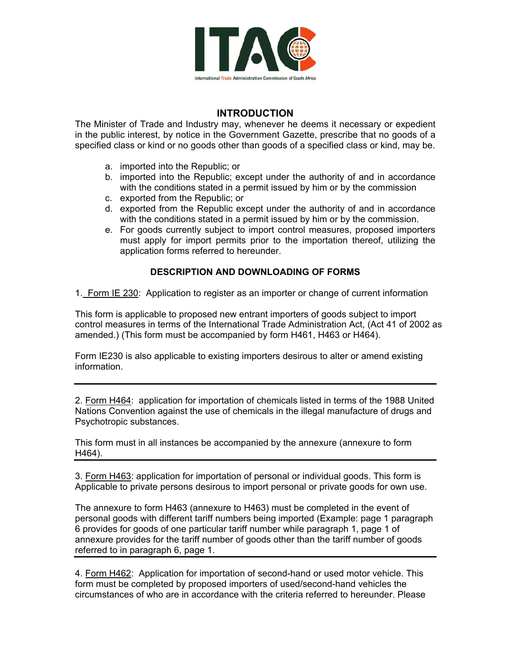

## **INTRODUCTION**

The Minister of Trade and Industry may, whenever he deems it necessary or expedient in the public interest, by notice in the Government Gazette, prescribe that no goods of a specified class or kind or no goods other than goods of a specified class or kind, may be.

- a. imported into the Republic; or
- b. imported into the Republic; except under the authority of and in accordance with the conditions stated in a permit issued by him or by the commission
- c. exported from the Republic; or
- d. exported from the Republic except under the authority of and in accordance with the conditions stated in a permit issued by him or by the commission.
- e. For goods currently subject to import control measures, proposed importers must apply for import permits prior to the importation thereof, utilizing the application forms referred to hereunder.

## **DESCRIPTION AND DOWNLOADING OF FORMS**

1. Form IE 230: Application to register as an importer or change of current information

This form is applicable to proposed new entrant importers of goods subject to import control measures in terms of the International Trade Administration Act, (Act 41 of 2002 as amended.) (This form must be accompanied by form H461, H463 or H464).

Form IE230 is also applicable to existing importers desirous to alter or amend existing information.

2. Form H464: application for importation of chemicals listed in terms of the 1988 United Nations Convention against the use of chemicals in the illegal manufacture of drugs and Psychotropic substances.

This form must in all instances be accompanied by the annexure (annexure to form H464).

3. Form H463: application for importation of personal or individual goods. This form is Applicable to private persons desirous to import personal or private goods for own use.

The annexure to form H463 (annexure to H463) must be completed in the event of personal goods with different tariff numbers being imported (Example: page 1 paragraph 6 provides for goods of one particular tariff number while paragraph 1, page 1 of annexure provides for the tariff number of goods other than the tariff number of goods referred to in paragraph 6, page 1.

4. Form H462: Application for importation of second-hand or used motor vehicle. This form must be completed by proposed importers of used/second-hand vehicles the circumstances of who are in accordance with the criteria referred to hereunder. Please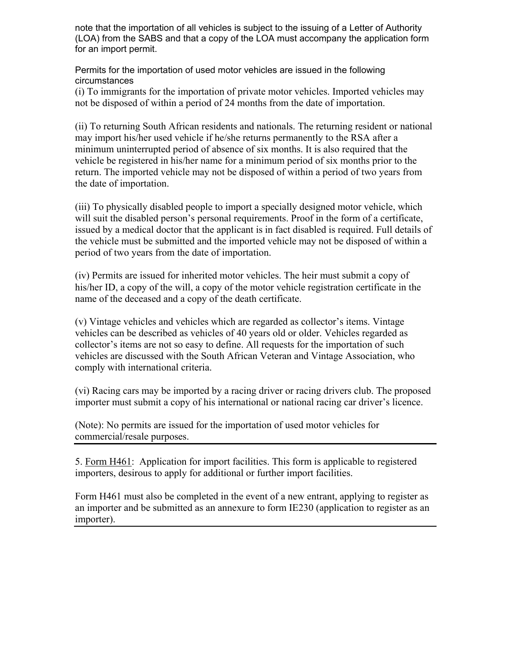note that the importation of all vehicles is subject to the issuing of a Letter of Authority (LOA) from the SABS and that a copy of the LOA must accompany the application form for an import permit.

Permits for the importation of used motor vehicles are issued in the following circumstances

(i) To immigrants for the importation of private motor vehicles. Imported vehicles may not be disposed of within a period of 24 months from the date of importation.

(ii) To returning South African residents and nationals. The returning resident or national may import his/her used vehicle if he/she returns permanently to the RSA after a minimum uninterrupted period of absence of six months. It is also required that the vehicle be registered in his/her name for a minimum period of six months prior to the return. The imported vehicle may not be disposed of within a period of two years from the date of importation.

(iii) To physically disabled people to import a specially designed motor vehicle, which will suit the disabled person's personal requirements. Proof in the form of a certificate, issued by a medical doctor that the applicant is in fact disabled is required. Full details of the vehicle must be submitted and the imported vehicle may not be disposed of within a period of two years from the date of importation.

(iv) Permits are issued for inherited motor vehicles. The heir must submit a copy of his/her ID, a copy of the will, a copy of the motor vehicle registration certificate in the name of the deceased and a copy of the death certificate.

 $(v)$  Vintage vehicles and vehicles which are regarded as collector's items. Vintage vehicles can be described as vehicles of 40 years old or older. Vehicles regarded as collector's items are not so easy to define. All requests for the importation of such vehicles are discussed with the South African Veteran and Vintage Association, who comply with international criteria.

(vi) Racing cars may be imported by a racing driver or racing drivers club. The proposed importer must submit a copy of his international or national racing car driver's licence.

(Note): No permits are issued for the importation of used motor vehicles for commercial/resale purposes.

5. Form H461: Application for import facilities. This form is applicable to registered importers, desirous to apply for additional or further import facilities.

Form H461 must also be completed in the event of a new entrant, applying to register as an importer and be submitted as an annexure to form IE230 (application to register as an importer).